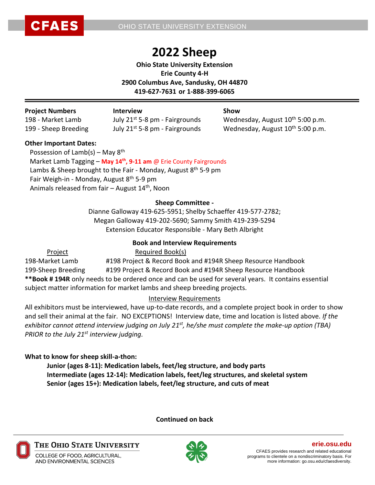

# **2022 Sheep**

**Ohio State University Extension Erie County 4-H 2900 Columbus Ave, Sandusky, OH 44870 419-627-7631 or 1-888-399-6065**

| <b>Project Numbers</b> | <b>Interview</b>                           | Show                                         |
|------------------------|--------------------------------------------|----------------------------------------------|
| 198 - Market Lamb      | July 21 <sup>st</sup> 5-8 pm - Fairgrounds | Wednesday, August 10 <sup>th</sup> 5:00 p.m. |
| 199 - Sheep Breeding   | July 21 <sup>st</sup> 5-8 pm - Fairgrounds | Wednesday, August 10 <sup>th</sup> 5:00 p.m. |

### **Other Important Dates:**

Possession of Lamb(s) – May  $8<sup>th</sup>$  Market Lamb Tagging – **May 14th, 9-11 am** @ Erie County Fairgrounds Lambs & Sheep brought to the Fair - Monday, August 8<sup>th</sup> 5-9 pm Fair Weigh-in - Monday, August 8<sup>th</sup> 5-9 pm Animals released from fair - August 14<sup>th</sup>, Noon

### **Sheep Committee -**

Dianne Galloway 419-625-5951; Shelby Schaeffer 419-577-2782; Megan Galloway 419-202-5690; Sammy Smith 419-239-5294 Extension Educator Responsible - Mary Beth Albright

### **Book and Interview Requirements**

Project Required Book(s) 198-Market Lamb #198 Project & Record Book and #194R Sheep Resource Handbook 199-Sheep Breeding #199 Project & Record Book and #194R Sheep Resource Handbook **\*\*Book # 194R** only needs to be ordered once and can be used for several years. It contains essential subject matter information for market lambs and sheep breeding projects.

### Interview Requirements

All exhibitors must be interviewed, have up-to-date records, and a complete project book in order to show and sell their animal at the fair. NO EXCEPTIONS! Interview date, time and location is listed above. *If the exhibitor cannot attend interview judging on July 21 st, he/she must complete the make-up option (TBA) PRIOR to the July 21 st interview judging.*

### **What to know for sheep skill-a-thon:**

**Junior (ages 8-11): Medication labels, feet/leg structure, and body parts Intermediate (ages 12-14): Medication labels, feet/leg structures, and skeletal system Senior (ages 15+): Medication labels, feet/leg structure, and cuts of meat**

**Continued on back**



THE OHIO STATE UNIVERSITY

COLLEGE OF FOOD, AGRICULTURAL, AND ENVIRONMENTAL SCIENCES

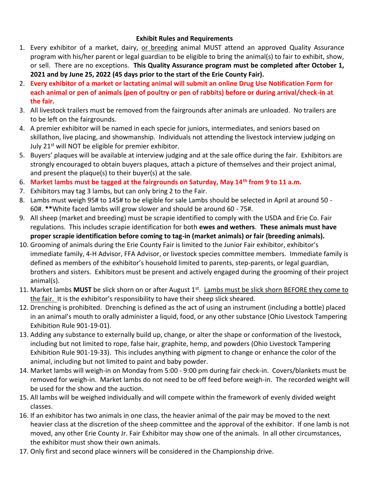### **Exhibit Rules and Requirements**

- 1. Every exhibitor of a market, dairy, or breeding animal MUST attend an approved Quality Assurance program with his/her parent or legal guardian to be eligible to bring the animal(s) to fair to exhibit, show, or sell. There are no exceptions. **This Quality Assurance program must be completed after October 1, 2021 and by June 25, 2022 (45 days prior to the start of the Erie County Fair).**
- 2. **Every exhibitor of a market or lactating animal will submit an online Drug Use Notification Form for each animal or pen of animals (pen of poultry or pen of rabbits) before or during arrival/check-in at the fair.**
- 3. All livestock trailers must be removed from the fairgrounds after animals are unloaded. No trailers are to be left on the fairgrounds.
- 4. A premier exhibitor will be named in each specie for juniors, intermediates, and seniors based on skillathon, live placing, and showmanship. Individuals not attending the livestock interview judging on July 21<sup>st</sup> will NOT be eligible for premier exhibitor.
- 5. Buyers' plaques will be available at interview judging and at the sale office during the fair. Exhibitors are strongly encouraged to obtain buyers plaques, attach a picture of themselves and their project animal, and present the plaque(s) to their buyer(s) at the sale.
- 6. **Market lambs must be tagged at the fairgrounds on Saturday, May 14th from 9 to 11 a.m.**
- 7. Exhibitors may tag 3 lambs, but can only bring 2 to the Fair.
- 8. Lambs must weigh 95# to 145# to be eligible for sale Lambs should be selected in April at around 50 60#. **\*\***White faced lambs will grow slower and should be around 60 - 75#.
- 9. All sheep (market and breeding) must be scrapie identified to comply with the USDA and Erie Co. Fair regulations. This includes scrapie identification for both **ewes and wethers**. **These animals must have proper scrapie identification before coming to tag-in (market animals) or fair (breeding animals).**
- 10. Grooming of animals during the Erie County Fair is limited to the Junior Fair exhibitor, exhibitor's immediate family, 4-H Advisor, FFA Advisor, or livestock species committee members. Immediate family is defined as members of the exhibitor's household limited to parents, step-parents, or legal guardian, brothers and sisters. Exhibitors must be present and actively engaged during the grooming of their project animal(s).
- 11. Market lambs **MUST** be slick shorn on or after August 1<sup>st</sup>. Lambs must be slick shorn BEFORE they come to the fair. It is the exhibitor's responsibility to have their sheep slick sheared.
- 12. Drenching is prohibited. Drenching is defined as the act of using an instrument (including a bottle) placed in an animal's mouth to orally administer a liquid, food, or any other substance (Ohio Livestock Tampering Exhibition Rule 901-19-01).
- 13. Adding any substance to externally build up, change, or alter the shape or conformation of the livestock, including but not limited to rope, false hair, graphite, hemp, and powders (Ohio Livestock Tampering Exhibition Rule 901-19-33). This includes anything with pigment to change or enhance the color of the animal, including but not limited to paint and baby powder.
- 14. Market lambs will weigh-in on Monday from 5:00 9:00 pm during fair check-in. Covers/blankets must be removed for weigh-in. Market lambs do not need to be off feed before weigh-in. The recorded weight will be used for the show and the auction.
- 15. All lambs will be weighed individually and will compete within the framework of evenly divided weight classes.
- 16. If an exhibitor has two animals in one class, the heavier animal of the pair may be moved to the next heavier class at the discretion of the sheep committee and the approval of the exhibitor. If one lamb is not moved, any other Erie County Jr. Fair Exhibitor may show one of the animals. In all other circumstances, the exhibitor must show their own animals.
- 17. Only first and second place winners will be considered in the Championship drive.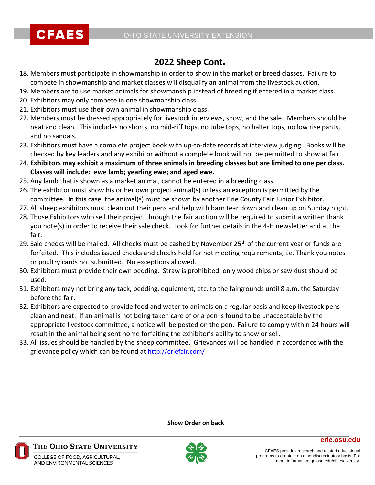

## **2022 Sheep Cont.**

- 18. Members must participate in showmanship in order to show in the market or breed classes. Failure to compete in showmanship and market classes will disqualify an animal from the livestock auction.
- 19. Members are to use market animals for showmanship instead of breeding if entered in a market class.
- 20. Exhibitors may only compete in one showmanship class.
- 21. Exhibitors must use their own animal in showmanship class.
- 22. Members must be dressed appropriately for livestock interviews, show, and the sale. Members should be neat and clean. This includes no shorts, no mid-riff tops, no tube tops, no halter tops, no low rise pants, and no sandals.
- 23. Exhibitors must have a complete project book with up-to-date records at interview judging. Books will be checked by key leaders and any exhibitor without a complete book will not be permitted to show at fair.
- 24. **Exhibitors may exhibit a maximum of three animals in breeding classes but are limited to one per class. Classes will include: ewe lamb; yearling ewe; and aged ewe.**
- 25. Any lamb that is shown as a market animal, cannot be entered in a breeding class.
- 26. The exhibitor must show his or her own project animal(s) unless an exception is permitted by the committee. In this case, the animal(s) must be shown by another Erie County Fair Junior Exhibitor.
- 27. All sheep exhibitors must clean out their pens and help with barn tear down and clean up on Sunday night.
- 28. Those Exhibitors who sell their project through the fair auction will be required to submit a written thank you note(s) in order to receive their sale check. Look for further details in the 4-H newsletter and at the fair.
- 29. Sale checks will be mailed. All checks must be cashed by November 25<sup>th</sup> of the current year or funds are forfeited. This includes issued checks and checks held for not meeting requirements, i.e. Thank you notes or poultry cards not submitted. No exceptions allowed.
- 30. Exhibitors must provide their own bedding. Straw is prohibited, only wood chips or saw dust should be used.
- 31. Exhibitors may not bring any tack, bedding, equipment, etc. to the fairgrounds until 8 a.m. the Saturday before the fair.
- 32. Exhibitors are expected to provide food and water to animals on a regular basis and keep livestock pens clean and neat. If an animal is not being taken care of or a pen is found to be unacceptable by the appropriate livestock committee, a notice will be posted on the pen. Failure to comply within 24 hours will result in the animal being sent home forfeiting the exhibitor's ability to show or sell.
- 33. All issues should be handled by the sheep committee. Grievances will be handled in accordance with the grievance policy which can be found at <http://eriefair.com/>

**Show Order on back**



THE OHIO STATE UNIVERSITY

COLLEGE OF FOOD, AGRICULTURAL, AND FNVIRONMENTAL SCIENCES

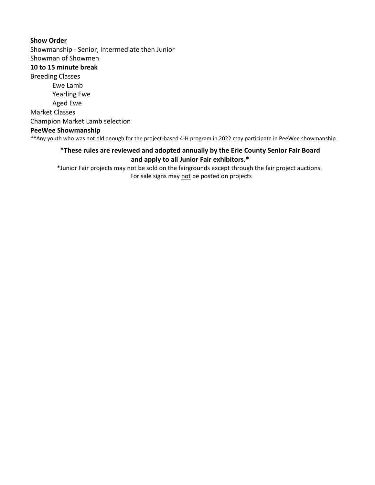### **Show Order**

Showmanship - Senior, Intermediate then Junior Showman of Showmen

### **10 to 15 minute break**

Breeding Classes Ewe Lamb Yearling Ewe Aged Ewe Market Classes Champion Market Lamb selection **PeeWee Showmanship** 

\*\*Any youth who was not old enough for the project-based 4-H program in 2022 may participate in PeeWee showmanship.

### **\*These rules are reviewed and adopted annually by the Erie County Senior Fair Board and apply to all Junior Fair exhibitors.\***

\*Junior Fair projects may not be sold on the fairgrounds except through the fair project auctions. For sale signs may not be posted on projects